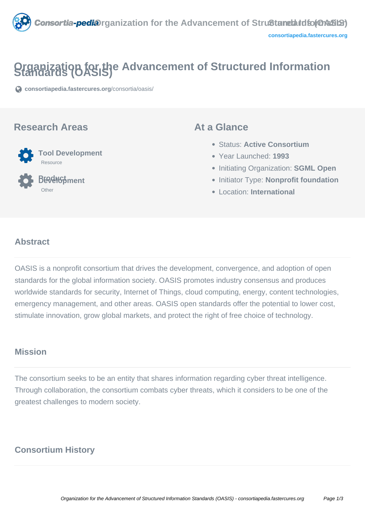

# **Organization for the Advancement of Structured Information**

**[consortiapedia.fastercures.org](https://consortiapedia.fastercures.org/consortia/oasis/)**[/consortia/oasis/](https://consortiapedia.fastercures.org/consortia/oasis/)

#### **Research Areas**



 **Product Development** Other

#### **At a Glance**

- Status: **Active Consortium**
- Year Launched: **1993**
- **Initiating Organization: SGML Open**
- **Initiator Type: Nonprofit foundation**
- Location: **International**

#### $\overline{a}$ **Abstract**

OASIS is a nonprofit consortium that drives the development, convergence, and adoption of open standards for the global information society. OASIS promotes industry consensus and produces worldwide standards for security, Internet of Things, cloud computing, energy, content technologies, emergency management, and other areas. OASIS open standards offer the potential to lower cost, stimulate innovation, grow global markets, and protect the right of free choice of technology.

#### **Mission**

The consortium seeks to be an entity that shares information regarding cyber threat intelligence. Through collaboration, the consortium combats cyber threats, which it considers to be one of the greatest challenges to modern society.

#### **Consortium History**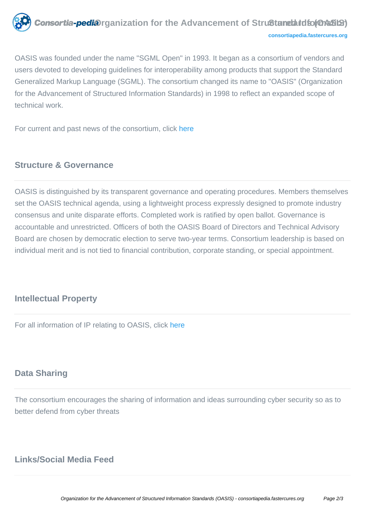

OASIS was founded under the name "SGML Open" in 1993. It began as a consortium of vendors and users devoted to developing guidelines for interoperability among products that support the Standard Generalized Markup Language (SGML). The consortium changed its name to "OASIS" (Organization for the Advancement of Structured Information Standards) in 1998 to reflect an expanded scope of technical work.

For current and past news of the consortium, click [here](https://www.oasis-open.org/news)

## **Structure & Governance**

OASIS is distinguished by its transparent governance and operating procedures. Members themselves set the OASIS technical agenda, using a lightweight process expressly designed to promote industry consensus and unite disparate efforts. Completed work is ratified by open ballot. Governance is accountable and unrestricted. Officers of both the OASIS Board of Directors and Technical Advisory Board are chosen by democratic election to serve two-year terms. Consortium leadership is based on individual merit and is not tied to financial contribution, corporate standing, or special appointment.

#### **Intellectual Property**

For all information of IP relating to OASIS, click [here](https://www.oasis-open.org/policies-guidelines/ipr)

### **Data Sharing**

The consortium encourages the sharing of information and ideas surrounding cyber security so as to better defend from cyber threats

# **Links/Social Media Feed**